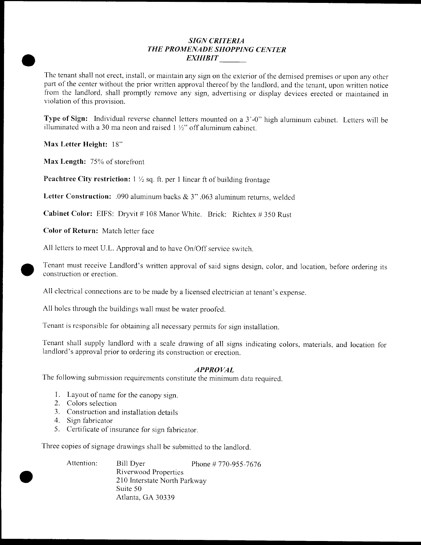# SIGN CRITERIA THE PROMENADE SHOPPING CENTER EXHIBIT

The tenant shall not erect, install, or maintain any sign on the exterior of the demised premises or upon any other part of the center without the prior written approval thereof by the landlord, and the tenant, upon written notice from the landlord, shall promptly remove any sign, advertising or display devices erected or maintained in violation of this provision.

Type of Sign: Individual reverse channel letters mounted on a 3'-0" high aluminum cabinet. Letters will be illuminated with a 30 ma neon and raised  $1\frac{1}{2}$  off aluminum cabinet.

Max Letter Height: 18"

Max Length:  $75%$  of storefront

**Peachtree City restriction:**  $1 \frac{1}{2}$  sq. ft. per 1 linear ft of building frontage

Letter Construction: .090 aluminum backs & 3" .063 aluminum returns, welded

**Cabinet Color:** EIFS: Dryvit #108 Manor White. Brick: Richtex #350 Rust

Color of Return: Match letter face

e

All letters to meet U.L. Approval and to have On/Off service switch.

Tenant must receive Landlord's written approval of said signs design, color, and location, before ordering its construction or erection

All electrical connections are to be made by a licensed electrician at tenant's expense.

All holes through the buildings wall must be water proofed

Tenant is responsible for obtaining all necessary permits for sign installation

Tenant shall supply landlord with a scale drawing of all signs indicating colors, materials, and location for landlord's approval prior to ordering its construction or erection.

## APPROVAL

The following submission requirements constitute the minimum data required.

- 1. Layout of name for the canopy sign.
- 2. Colors selection
- 3. Construction and installation details
- 4. Sign fabricator
- 5. Certificate of insurance for sign fabricator.

Three copies of signage drawings shall be submitted to the landlord

| Attention: | Bill Dyer                    | Phone # 770-955-7676 |  |  |  |
|------------|------------------------------|----------------------|--|--|--|
|            | Riverwood Properties         |                      |  |  |  |
|            | 210 Interstate North Parkway |                      |  |  |  |
|            | Suite 50                     |                      |  |  |  |
|            | Atlanta, GA 30339            |                      |  |  |  |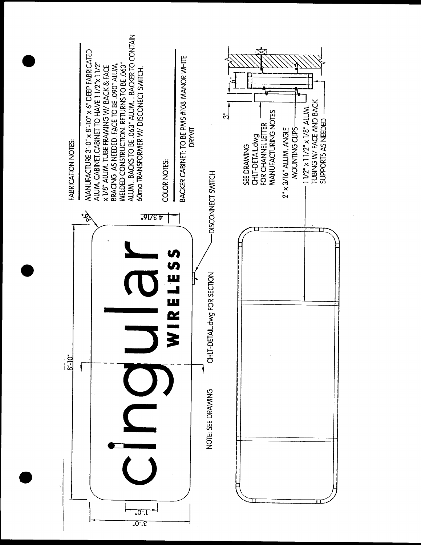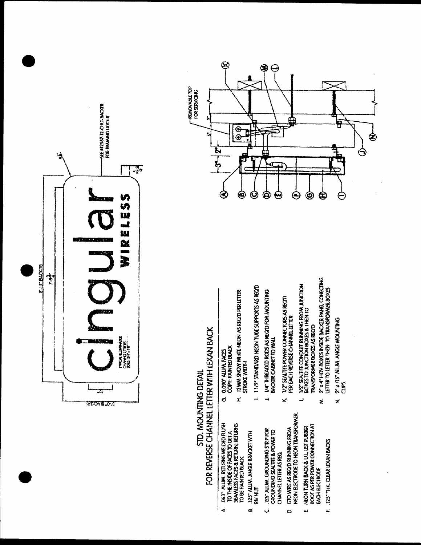

# STD. MOUNTING DETAIL<br>FOR REVERSE CHANNEL LETTER WITH LEXAN BACK

| H. 13MM SNOW WHITE NEON AS RECID PER LETTER<br>COPY: PAINTED BLACK<br><b>G. O.RPY ALIM, FACES</b>                                           | 1 11/2" STANDARD NEON TUDE SUPPORTS AS RECOD<br><b>STROKE WIDTH</b> | 1/4" THREADED ROOS AS REGED FOR MOUNTING<br>BACKER CABNET TO WALL                                   | K 1/2" SEALTITE POWER CONNECTORS AS RECOT<br>PER EACH REVERSE CHANNEL LETTER | <b>ACCUPINT YORS SHAPPER EITZINGS HEIRTH 2017</b><br>BOXES TO JUNCTIVINOXES & THEN TO<br>TRANSFORMER DOXES AS RECTO | M. 2" x 4" HOY BOXES ENSIDE BACKER PANEL CONFICTING<br>LETTER TO LETTER THEN TO TRANSFORMER BOXES | N. 2 x 76° ALIM AVGE MOUNTNO<br>ξ<br>J |  |
|---------------------------------------------------------------------------------------------------------------------------------------------|---------------------------------------------------------------------|-----------------------------------------------------------------------------------------------------|------------------------------------------------------------------------------|---------------------------------------------------------------------------------------------------------------------|---------------------------------------------------------------------------------------------------|----------------------------------------|--|
|                                                                                                                                             |                                                                     |                                                                                                     |                                                                              |                                                                                                                     |                                                                                                   |                                        |  |
| A. 063" ALUM, RETURNS WELDED FLUSH<br><b>SEANLESS FACES &amp; RETURN, RETURNS</b><br>TO THE INSIDE OF FACES TO GET A<br>TO BE PAINTED BLACK | <b>B. 125" AUJM. ANGLE BRACKET WITH</b><br><b>RIV NUT</b>           | C. 125" ALUM. GROUNDALG STRIP FOR<br>GROUNDING SEALTITE & POWER TO<br><b>CHANNEL LETTER AS REQ.</b> | MECHA ELECTRODE TO MECHA TRANSFORMER.<br>D. GTO WIRE AS RECID RUNNING FROM   | BOOT AS PER POWER CONNECTION AT<br>E. NEON TURN BACK & U.L. UST RUBBER<br><b>PYCH EECIRODE</b>                      | F 125" THK CLEAR LEXAN BACKS                                                                      |                                        |  |